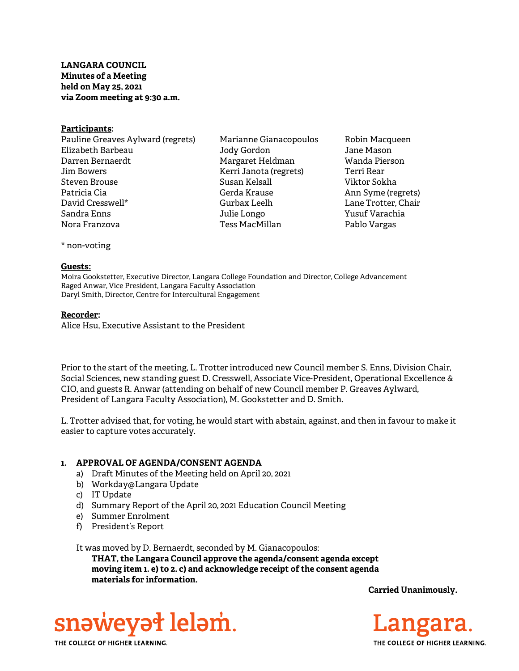# LANGARA COUNCIL Minutes of a Meeting held on May 25, 2021 via Zoom meeting at 9:30 a.m.

#### Participants:

Pauline Greaves Aylward (regrets) Elizabeth Barbeau Darren Bernaerdt Jim Bowers Steven Brouse Patricia Cia David Cresswell\* Sandra Enns Nora Franzova

Marianne Gianacopoulos Jody Gordon Margaret Heldman Kerri Janota (regrets) Susan Kelsall Gerda Krause Gurbax Leelh Julie Longo Tess MacMillan

Robin Macqueen Jane Mason Wanda Pierson Terri Rear Viktor Sokha Ann Syme (regrets) Lane Trotter, Chair Yusuf Varachia Pablo Vargas

\* non-voting

#### Guests:

Moira Gookstetter, Executive Director, Langara College Foundation and Director, College Advancement Raged Anwar, Vice President, Langara Faculty Association Daryl Smith, Director, Centre for Intercultural Engagement

### Recorder:

Alice Hsu, Executive Assistant to the President

Prior to the start of the meeting, L. Trotter introduced new Council member S. Enns, Division Chair, Social Sciences, new standing guest D. Cresswell, Associate Vice-President, Operational Excellence & CIO, and guests R. Anwar (attending on behalf of new Council member P. Greaves Aylward, President of Langara Faculty Association), M. Gookstetter and D. Smith.

L. Trotter advised that, for voting, he would start with abstain, against, and then in favour to make it easier to capture votes accurately.

# 1. APPROVAL OF AGENDA/CONSENT AGENDA

- a) Draft Minutes of the Meeting held on April 20, 2021
- b) Workday@Langara Update
- c) IT Update
- d) Summary Report of the April 20, 2021 Education Council Meeting
- e) Summer Enrolment
- f) President's Report

It was moved by D. Bernaerdt, seconded by M. Gianacopoulos:

THAT, the Langara Council approve the agenda/consent agenda except moving item 1. e) to 2. c) and acknowledge receipt of the consent agenda materials for information.

Carried Unanimously.



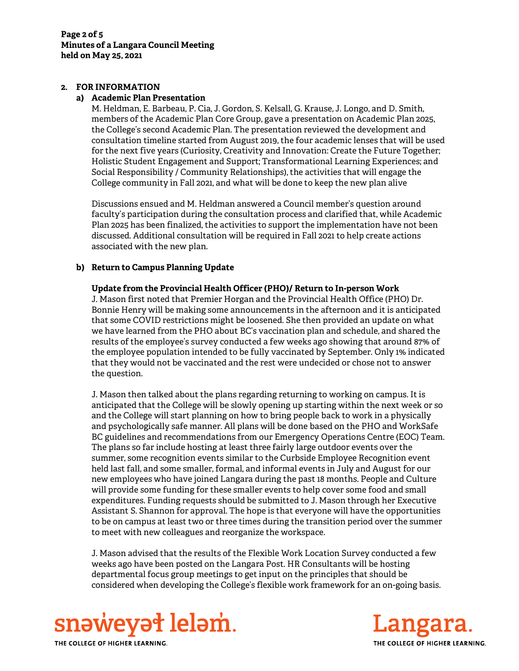#### 2. FOR INFORMATION

### a) Academic Plan Presentation

M. Heldman, E. Barbeau, P. Cia, J. Gordon, S. Kelsall, G. Krause, J. Longo, and D. Smith, members of the Academic Plan Core Group, gave a presentation on Academic Plan 2025, the College's second Academic Plan. The presentation reviewed the development and consultation timeline started from August 2019, the four academic lenses that will be used for the next five years (Curiosity, Creativity and Innovation: Create the Future Together; Holistic Student Engagement and Support; Transformational Learning Experiences; and Social Responsibility / Community Relationships), the activities that will engage the College community in Fall 2021, and what will be done to keep the new plan alive

Discussions ensued and M. Heldman answered a Council member's question around faculty's participation during the consultation process and clarified that, while Academic Plan 2025 has been finalized, the activities to support the implementation have not been discussed. Additional consultation will be required in Fall 2021 to help create actions associated with the new plan.

# b) Return to Campus Planning Update

# Update from the Provincial Health Officer (PHO)/ Return to In-person Work

J. Mason first noted that Premier Horgan and the Provincial Health Office (PHO) Dr. Bonnie Henry will be making some announcements in the afternoon and it is anticipated that some COVID restrictions might be loosened. She then provided an update on what we have learned from the PHO about BC's vaccination plan and schedule, and shared the results of the employee's survey conducted a few weeks ago showing that around 87% of the employee population intended to be fully vaccinated by September. Only 1% indicated that they would not be vaccinated and the rest were undecided or chose not to answer the question.

J. Mason then talked about the plans regarding returning to working on campus. It is anticipated that the College will be slowly opening up starting within the next week or so and the College will start planning on how to bring people back to work in a physically and psychologically safe manner. All plans will be done based on the PHO and WorkSafe BC guidelines and recommendations from our Emergency Operations Centre (EOC) Team. The plans so far include hosting at least three fairly large outdoor events over the summer, some recognition events similar to the Curbside Employee Recognition event held last fall, and some smaller, formal, and informal events in July and August for our new employees who have joined Langara during the past 18 months. People and Culture will provide some funding for these smaller events to help cover some food and small expenditures. Funding requests should be submitted to J. Mason through her Executive Assistant S. Shannon for approval. The hope is that everyone will have the opportunities to be on campus at least two or three times during the transition period over the summer to meet with new colleagues and reorganize the workspace.

J. Mason advised that the results of the Flexible Work Location Survey conducted a few weeks ago have been posted on the Langara Post. HR Consultants will be hosting departmental focus group meetings to get input on the principles that should be considered when developing the College's flexible work framework for an on-going basis.



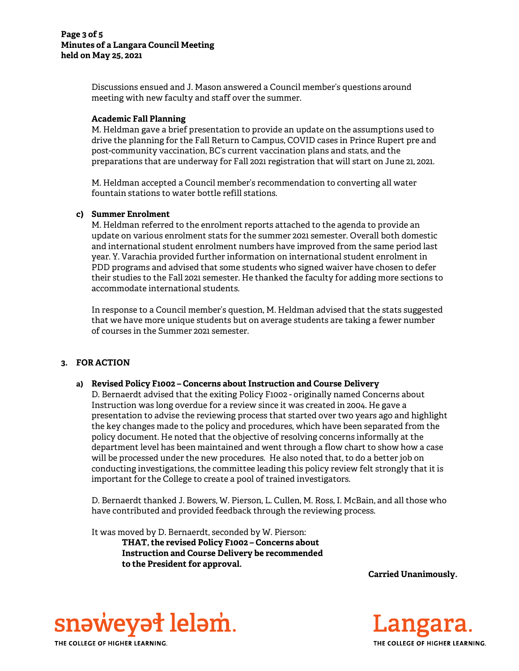### Page 3 of 5 Minutes of a Langara Council Meeting held on May 25, 2021

Discussions ensued and J. Mason answered a Council member's questions around meeting with new faculty and staff over the summer.

# Academic Fall Planning

M. Heldman gave a brief presentation to provide an update on the assumptions used to drive the planning for the Fall Return to Campus, COVID cases in Prince Rupert pre and post-community vaccination, BC's current vaccination plans and stats, and the preparations that are underway for Fall 2021 registration that will start on June 21, 2021.

M. Heldman accepted a Council member's recommendation to converting all water fountain stations to water bottle refill stations.

### c) Summer Enrolment

M. Heldman referred to the enrolment reports attached to the agenda to provide an update on various enrolment stats for the summer 2021 semester. Overall both domestic and international student enrolment numbers have improved from the same period last year. Y. Varachia provided further information on international student enrolment in PDD programs and advised that some students who signed waiver have chosen to defer their studies to the Fall 2021 semester. He thanked the faculty for adding more sections to accommodate international students.

In response to a Council member's question, M. Heldman advised that the stats suggested that we have more unique students but on average students are taking a fewer number of courses in the Summer 2021 semester.

# 3. FOR ACTION

#### a) Revised Policy F1002 – Concerns about Instruction and Course Delivery

D. Bernaerdt advised that the exiting Policy F1002 - originally named Concerns about Instruction was long overdue for a review since it was created in 2004. He gave a presentation to advise the reviewing process that started over two years ago and highlight the key changes made to the policy and procedures, which have been separated from the policy document. He noted that the objective of resolving concerns informally at the department level has been maintained and went through a flow chart to show how a case will be processed under the new procedures. He also noted that, to do a better job on conducting investigations, the committee leading this policy review felt strongly that it is important for the College to create a pool of trained investigators.

D. Bernaerdt thanked J. Bowers, W. Pierson, L. Cullen, M. Ross, I. McBain, and all those who have contributed and provided feedback through the reviewing process.

It was moved by D. Bernaerdt, seconded by W. Pierson:

THAT, the revised Policy F1002 – Concerns about Instruction and Course Delivery be recommended to the President for approval.

Carried Unanimously.



THE COLLEGE OF HIGHER LEARNING.

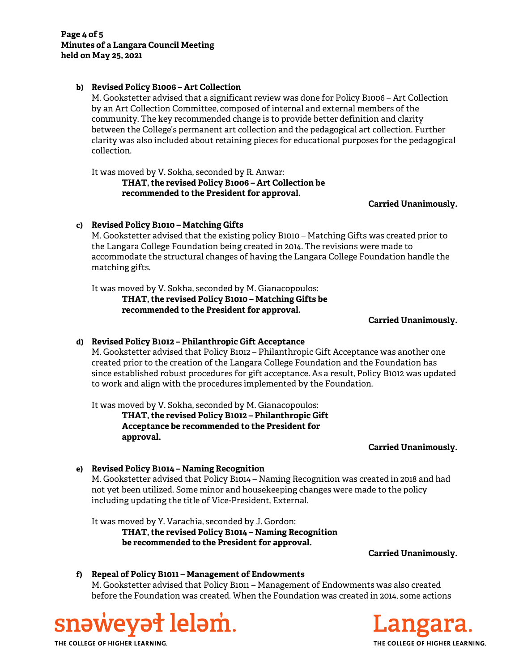### b) Revised Policy B1006 – Art Collection

M. Gookstetter advised that a significant review was done for Policy B1006 – Art Collection by an Art Collection Committee, composed of internal and external members of the community. The key recommended change is to provide better definition and clarity between the College's permanent art collection and the pedagogical art collection. Further clarity was also included about retaining pieces for educational purposes for the pedagogical collection.

It was moved by V. Sokha, seconded by R. Anwar:

THAT, the revised Policy B1006 – Art Collection be recommended to the President for approval.

Carried Unanimously.

# c) Revised Policy B1010 – Matching Gifts

M. Gookstetter advised that the existing policy B1010 – Matching Gifts was created prior to the Langara College Foundation being created in 2014. The revisions were made to accommodate the structural changes of having the Langara College Foundation handle the matching gifts.

It was moved by V. Sokha, seconded by M. Gianacopoulos:

THAT, the revised Policy B1010 – Matching Gifts be recommended to the President for approval.

Carried Unanimously.

# d) Revised Policy B1012 – Philanthropic Gift Acceptance

M. Gookstetter advised that Policy B1012 – Philanthropic Gift Acceptance was another one created prior to the creation of the Langara College Foundation and the Foundation has since established robust procedures for gift acceptance. As a result, Policy B1012 was updated to work and align with the procedures implemented by the Foundation.

It was moved by V. Sokha, seconded by M. Gianacopoulos:

THAT, the revised Policy B1012 – Philanthropic Gift Acceptance be recommended to the President for approval.

#### Carried Unanimously.

# e) Revised Policy B1014 – Naming Recognition M. Gookstetter advised that Policy B1014 – Naming Recognition was created in 2018 and had not yet been utilized. Some minor and housekeeping changes were made to the policy including updating the title of Vice-President, External.

It was moved by Y. Varachia, seconded by J. Gordon: THAT, the revised Policy B1014 – Naming Recognition be recommended to the President for approval.

Carried Unanimously.

f) Repeal of Policy B1011 – Management of Endowments M. Gookstetter advised that Policy B1011 – Management of Endowments was also created before the Foundation was created. When the Foundation was created in 2014, some actions



THE COLLEGE OF HIGHER LEARNING.

THE COLLEGE OF HIGHER LEARNING.